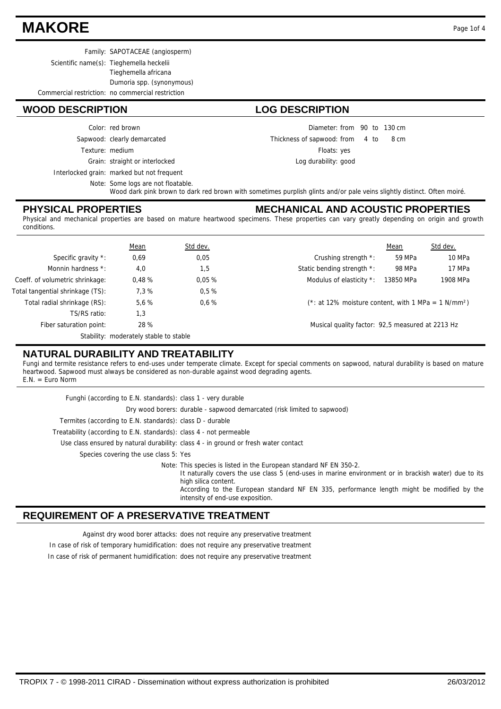## **MAKORE** Page 1of 4

Family: SAPOTACEAE (angiosperm)

Scientific name(s): Tieghemella heckelii

Tieghemella africana

Dumoria spp. (synonymous)

Commercial restriction: no commercial restriction

#### **WOOD DESCRIPTION LOG DESCRIPTION**

Sapwood: clearly demarcated Color: red brown

Texture: medium

Grain: straight or interlocked

Interlocked grain: marked but not frequent

Note: Some logs are not floatable.

Wood dark pink brown to dark red brown with sometimes purplish glints and/or pale veins slightly distinct. Often moiré.

#### **PHYSICAL PROPERTIES**

#### **MECHANICAL AND ACOUSTIC PROPERTIES**

Diameter: from 90 to 130 cm

Floats: yes Log durability: good

Thickness of sapwood:

from 4 to 8 cm

Physical and mechanical properties are based on mature heartwood specimens. These properties can vary greatly depending on origin and growth conditions.

|                                  | Mean                                   | Std dev. |                                                                    | Mean      | Std dev. |
|----------------------------------|----------------------------------------|----------|--------------------------------------------------------------------|-----------|----------|
| Specific gravity *:              | 0,69                                   | 0,05     | Crushing strength *:                                               | 59 MPa    | 10 MPa   |
| Monnin hardness *:               | 4,0                                    | 1,5      | Static bending strength *:                                         | 98 MPa    | 17 MPa   |
| Coeff. of volumetric shrinkage:  | 0.48%                                  | 0.05%    | Modulus of elasticity *:                                           | 13850 MPa | 1908 MPa |
| Total tangential shrinkage (TS): | 7.3%                                   | 0.5%     |                                                                    |           |          |
| Total radial shrinkage (RS):     | 5.6%                                   | 0.6%     | $(*: at 12\%$ moisture content, with 1 MPa = 1 N/mm <sup>2</sup> ) |           |          |
| TS/RS ratio:                     | 1,3                                    |          |                                                                    |           |          |
| Fiber saturation point:          | 28 %                                   |          | Musical quality factor: 92,5 measured at 2213 Hz                   |           |          |
|                                  | Stability: moderately stable to stable |          |                                                                    |           |          |

### **NATURAL DURABILITY AND TREATABILITY**

Fungi and termite resistance refers to end-uses under temperate climate. Except for special comments on sapwood, natural durability is based on mature heartwood. Sapwood must always be considered as non-durable against wood degrading agents. E.N. = Euro Norm

| Funghi (according to E.N. standards): class 1 - very durable        |                                                                                                                                                                                                                                                                                                                                     |
|---------------------------------------------------------------------|-------------------------------------------------------------------------------------------------------------------------------------------------------------------------------------------------------------------------------------------------------------------------------------------------------------------------------------|
|                                                                     | Dry wood borers: durable - sapwood demarcated (risk limited to sapwood)                                                                                                                                                                                                                                                             |
| Termites (according to E.N. standards): class D - durable           |                                                                                                                                                                                                                                                                                                                                     |
| Treatability (according to E.N. standards): class 4 - not permeable |                                                                                                                                                                                                                                                                                                                                     |
|                                                                     | Use class ensured by natural durability: class 4 - in ground or fresh water contact                                                                                                                                                                                                                                                 |
| Species covering the use class 5: Yes                               |                                                                                                                                                                                                                                                                                                                                     |
|                                                                     | Note: This species is listed in the European standard NF EN 350-2.<br>It naturally covers the use class 5 (end-uses in marine environment or in brackish water) due to its<br>high silica content.<br>According to the European standard NF EN 335, performance length might be modified by the<br>intensity of end-use exposition. |

#### **REQUIREMENT OF A PRESERVATIVE TREATMENT**

Against dry wood borer attacks: does not require any preservative treatment

In case of risk of temporary humidification: does not require any preservative treatment

In case of risk of permanent humidification: does not require any preservative treatment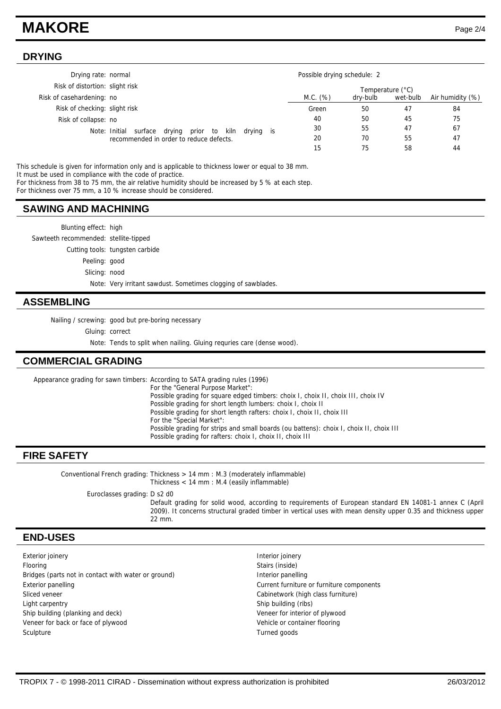## **MAKORE** Page 2/4

#### **DRYING**

| Drying rate: normal                                                                               |           |  | Possible drying schedule: 2 |          |                  |                  |
|---------------------------------------------------------------------------------------------------|-----------|--|-----------------------------|----------|------------------|------------------|
| Risk of distortion: slight risk                                                                   |           |  |                             |          | Temperature (°C) |                  |
| Risk of casehardening: no                                                                         |           |  | M.C. (%)                    | dry-bulb | wet-bulb         | Air humidity (%) |
| Risk of checking: slight risk                                                                     |           |  | Green                       | 50       | 47               | 84               |
| Risk of collapse: no                                                                              |           |  | 40                          | 50       | 45               | 75               |
| Note: Initial<br>kiln<br>surface<br>drying<br>prior to<br>recommended in order to reduce defects. | drying is |  | 30                          | 55       | 47               | 67               |
|                                                                                                   |           |  | 20                          | 70       | 55               | 47               |
|                                                                                                   |           |  | 15                          | 75       | 58               | 44               |

This schedule is given for information only and is applicable to thickness lower or equal to 38 mm. It must be used in compliance with the code of practice.

For thickness from 38 to 75 mm, the air relative humidity should be increased by 5 % at each step.

For thickness over 75 mm, a 10 % increase should be considered.

#### **SAWING AND MACHINING**

Blunting effect: high Sawteeth recommended: stellite-tipped Cutting tools: tungsten carbide Peeling: good Slicing: nood

Note: Very irritant sawdust. Sometimes clogging of sawblades.

#### **ASSEMBLING**

Nailing / screwing: good but pre-boring necessary

Gluing: correct

Note: Tends to split when nailing. Gluing requries care (dense wood).

#### **COMMERCIAL GRADING**

Appearance grading for sawn timbers: According to SATA grading rules (1996) For the "General Purpose Market": Possible grading for square edged timbers: choix I, choix II, choix III, choix IV Possible grading for short length lumbers: choix I, choix II

Possible grading for short length rafters: choix I, choix II, choix III For the "Special Market": Possible grading for strips and small boards (ou battens): choix I, choix II, choix III Possible grading for rafters: choix I, choix II, choix III

#### **FIRE SAFETY**

Conventional French grading: Thickness > 14 mm : M.3 (moderately inflammable) Thickness < 14 mm : M.4 (easily inflammable)

Euroclasses grading: D s2 d0

Default grading for solid wood, according to requirements of European standard EN 14081-1 annex C (April 2009). It concerns structural graded timber in vertical uses with mean density upper 0.35 and thickness upper 22 mm.

#### **END-USES**

Exterior joinery **Interior is a little of the COV** and Table 1 and Table 1 and Table 1 and Table 1 and Table 1 and Table 1 and Table 1 and Table 1 and Table 1 and Table 1 and Table 1 and Table 1 and Table 1 and Table 1 and Flooring Stairs (inside) Bridges (parts not in contact with water or ground) literior panelling Exterior panelling Current furniture or furniture components Sliced veneer **Cabinetwork (high class furniture)** Cabinetwork (high class furniture) Light carpentry **Ship building (ribs)** Ship building (ribs) Ship building (planking and deck) Veneer for interior of plywood Veneer for back or face of plywood Vehicle or container flooring Sculpture Turned goods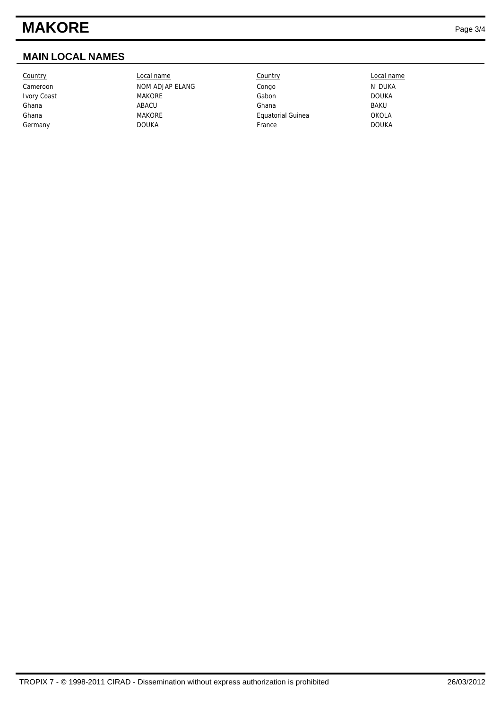# **MAKORE** Page 3/4

### **MAIN LOCAL NAMES**

Country Local name Country Local name Cameroon NOM ADJAP ELANG Congo Congo N' DUKA Ivory Coast MAKORE Gabon DOUKA Ghana ABACU Ghana BAKU Ghana **MAKORE** MAKORE Equatorial Guinea **CONCLA** Germany DOUKA France DOUKA